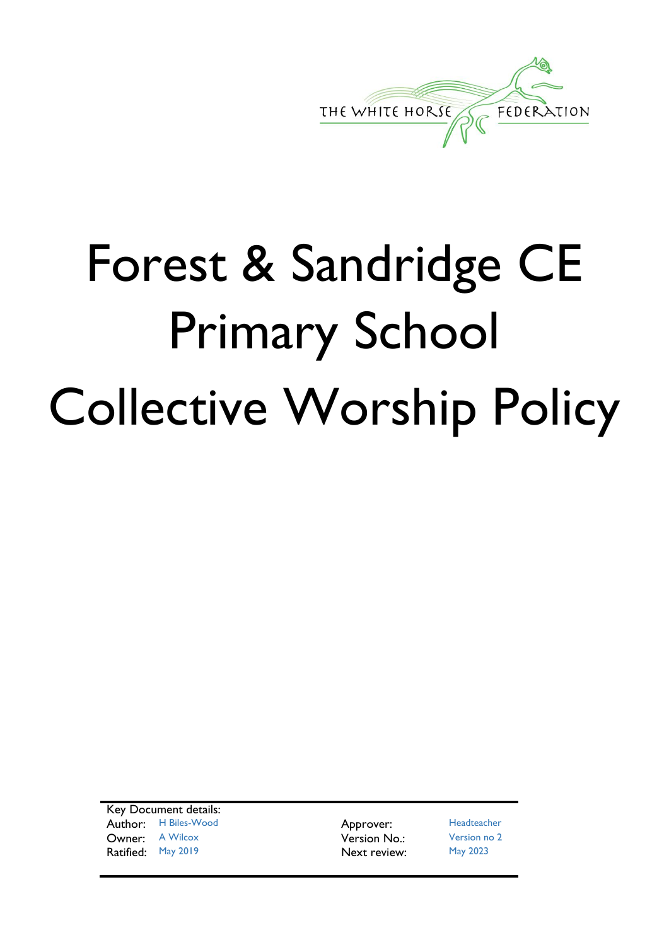

# Forest & Sandridge CE Primary School Collective Worship Policy

Key Document details: Author: H Biles-Wood **Approver:** Headteacher **Owner:** A Wilcox **Version No.:** Version no 2 Ratified: May 2019 **Next review:** May 2023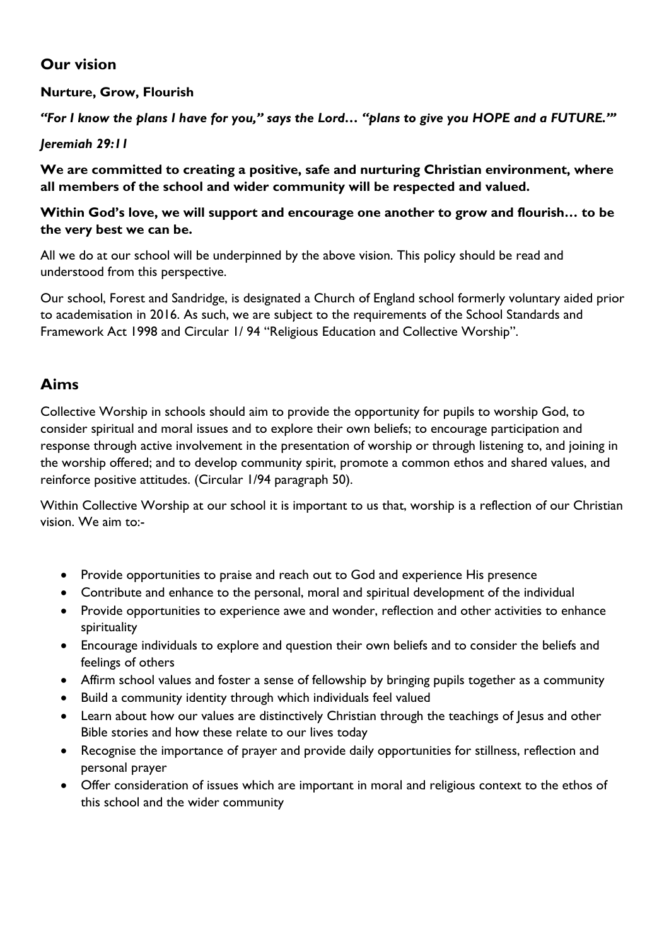#### **Our vision**

#### **Nurture, Grow, Flourish**

*"For I know the plans I have for you," says the Lord… "plans to give you HOPE and a FUTURE."'*

*Jeremiah 29:11*

**We are committed to creating a positive, safe and nurturing Christian environment, where all members of the school and wider community will be respected and valued.**

#### **Within God's love, we will support and encourage one another to grow and flourish… to be the very best we can be.**

All we do at our school will be underpinned by the above vision. This policy should be read and understood from this perspective.

Our school, Forest and Sandridge, is designated a Church of England school formerly voluntary aided prior to academisation in 2016. As such, we are subject to the requirements of the School Standards and Framework Act 1998 and Circular 1/ 94 "Religious Education and Collective Worship".

## **Aims**

Collective Worship in schools should aim to provide the opportunity for pupils to worship God, to consider spiritual and moral issues and to explore their own beliefs; to encourage participation and response through active involvement in the presentation of worship or through listening to, and joining in the worship offered; and to develop community spirit, promote a common ethos and shared values, and reinforce positive attitudes. (Circular 1/94 paragraph 50).

Within Collective Worship at our school it is important to us that, worship is a reflection of our Christian vision. We aim to:-

- Provide opportunities to praise and reach out to God and experience His presence
- Contribute and enhance to the personal, moral and spiritual development of the individual
- Provide opportunities to experience awe and wonder, reflection and other activities to enhance spirituality
- Encourage individuals to explore and question their own beliefs and to consider the beliefs and feelings of others
- Affirm school values and foster a sense of fellowship by bringing pupils together as a community
- Build a community identity through which individuals feel valued
- Learn about how our values are distinctively Christian through the teachings of Jesus and other Bible stories and how these relate to our lives today
- Recognise the importance of prayer and provide daily opportunities for stillness, reflection and personal prayer
- Offer consideration of issues which are important in moral and religious context to the ethos of this school and the wider community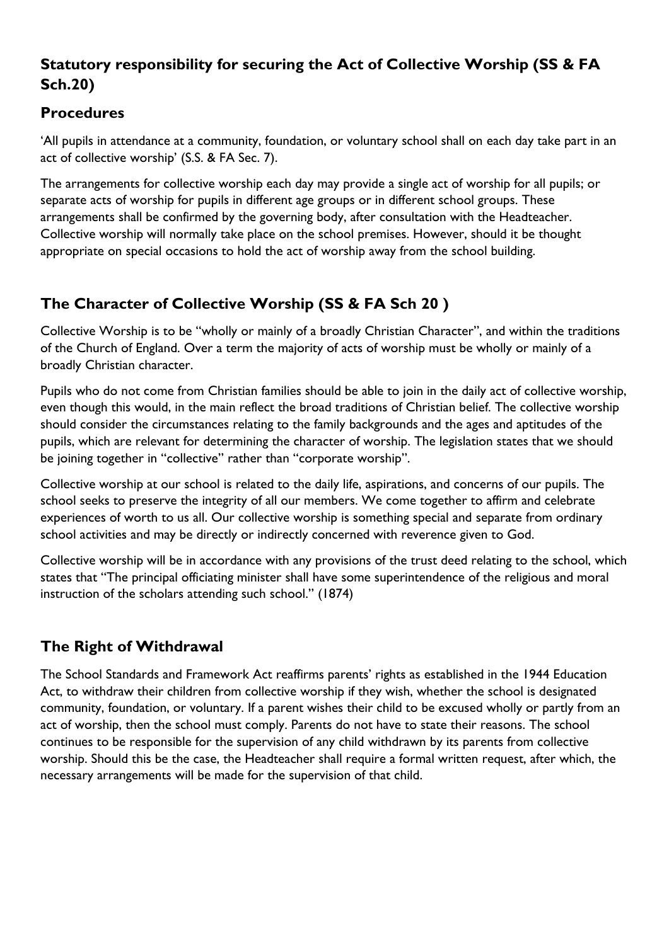#### **Statutory responsibility for securing the Act of Collective Worship (SS & FA Sch.20)**

#### **Procedures**

'All pupils in attendance at a community, foundation, or voluntary school shall on each day take part in an act of collective worship' (S.S. & FA Sec. 7).

The arrangements for collective worship each day may provide a single act of worship for all pupils; or separate acts of worship for pupils in different age groups or in different school groups. These arrangements shall be confirmed by the governing body, after consultation with the Headteacher. Collective worship will normally take place on the school premises. However, should it be thought appropriate on special occasions to hold the act of worship away from the school building.

# **The Character of Collective Worship (SS & FA Sch 20 )**

Collective Worship is to be "wholly or mainly of a broadly Christian Character", and within the traditions of the Church of England. Over a term the majority of acts of worship must be wholly or mainly of a broadly Christian character.

Pupils who do not come from Christian families should be able to join in the daily act of collective worship, even though this would, in the main reflect the broad traditions of Christian belief. The collective worship should consider the circumstances relating to the family backgrounds and the ages and aptitudes of the pupils, which are relevant for determining the character of worship. The legislation states that we should be joining together in "collective" rather than "corporate worship".

Collective worship at our school is related to the daily life, aspirations, and concerns of our pupils. The school seeks to preserve the integrity of all our members. We come together to affirm and celebrate experiences of worth to us all. Our collective worship is something special and separate from ordinary school activities and may be directly or indirectly concerned with reverence given to God.

Collective worship will be in accordance with any provisions of the trust deed relating to the school, which states that "The principal officiating minister shall have some superintendence of the religious and moral instruction of the scholars attending such school." (1874)

# **The Right of Withdrawal**

The School Standards and Framework Act reaffirms parents' rights as established in the 1944 Education Act, to withdraw their children from collective worship if they wish, whether the school is designated community, foundation, or voluntary. If a parent wishes their child to be excused wholly or partly from an act of worship, then the school must comply. Parents do not have to state their reasons. The school continues to be responsible for the supervision of any child withdrawn by its parents from collective worship. Should this be the case, the Headteacher shall require a formal written request, after which, the necessary arrangements will be made for the supervision of that child.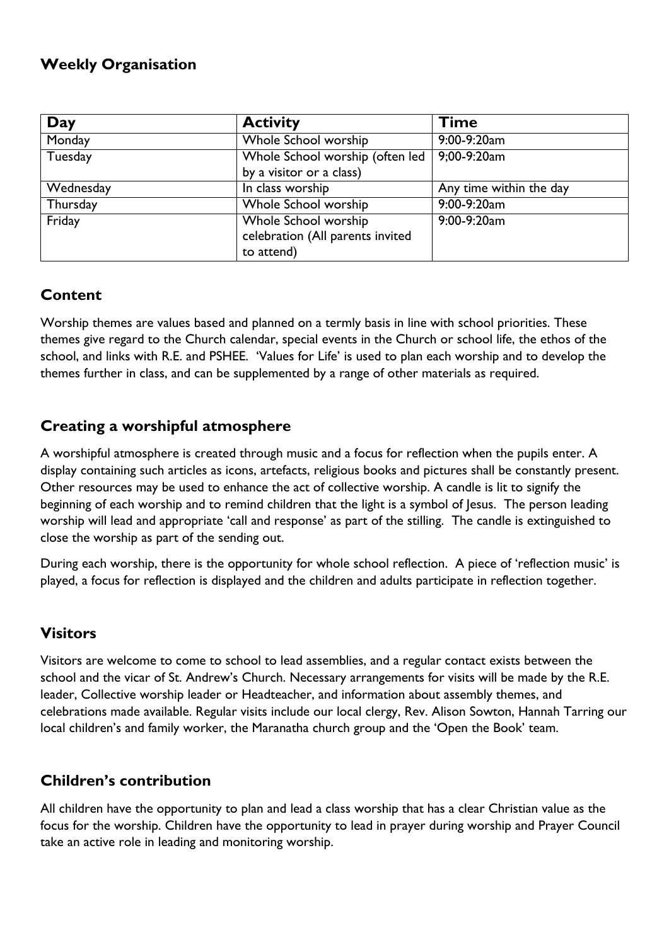#### **Weekly Organisation**

| Day       | <b>Activity</b>                  | <b>Time</b>             |
|-----------|----------------------------------|-------------------------|
| Monday    | Whole School worship             | 9:00-9:20am             |
| Tuesday   | Whole School worship (often led  | 9;00-9:20am             |
|           | by a visitor or a class)         |                         |
| Wednesday | In class worship                 | Any time within the day |
| Thursday  | Whole School worship             | 9:00-9:20am             |
| Friday    | Whole School worship             | 9:00-9:20am             |
|           | celebration (All parents invited |                         |
|           | to attend)                       |                         |

## **Content**

Worship themes are values based and planned on a termly basis in line with school priorities. These themes give regard to the Church calendar, special events in the Church or school life, the ethos of the school, and links with R.E. and PSHEE. 'Values for Life' is used to plan each worship and to develop the themes further in class, and can be supplemented by a range of other materials as required.

#### **Creating a worshipful atmosphere**

A worshipful atmosphere is created through music and a focus for reflection when the pupils enter. A display containing such articles as icons, artefacts, religious books and pictures shall be constantly present. Other resources may be used to enhance the act of collective worship. A candle is lit to signify the beginning of each worship and to remind children that the light is a symbol of Jesus. The person leading worship will lead and appropriate 'call and response' as part of the stilling. The candle is extinguished to close the worship as part of the sending out.

During each worship, there is the opportunity for whole school reflection. A piece of 'reflection music' is played, a focus for reflection is displayed and the children and adults participate in reflection together.

## **Visitors**

Visitors are welcome to come to school to lead assemblies, and a regular contact exists between the school and the vicar of St. Andrew's Church. Necessary arrangements for visits will be made by the R.E. leader, Collective worship leader or Headteacher, and information about assembly themes, and celebrations made available. Regular visits include our local clergy, Rev. Alison Sowton, Hannah Tarring our local children's and family worker, the Maranatha church group and the 'Open the Book' team.

#### **Children's contribution**

All children have the opportunity to plan and lead a class worship that has a clear Christian value as the focus for the worship. Children have the opportunity to lead in prayer during worship and Prayer Council take an active role in leading and monitoring worship.